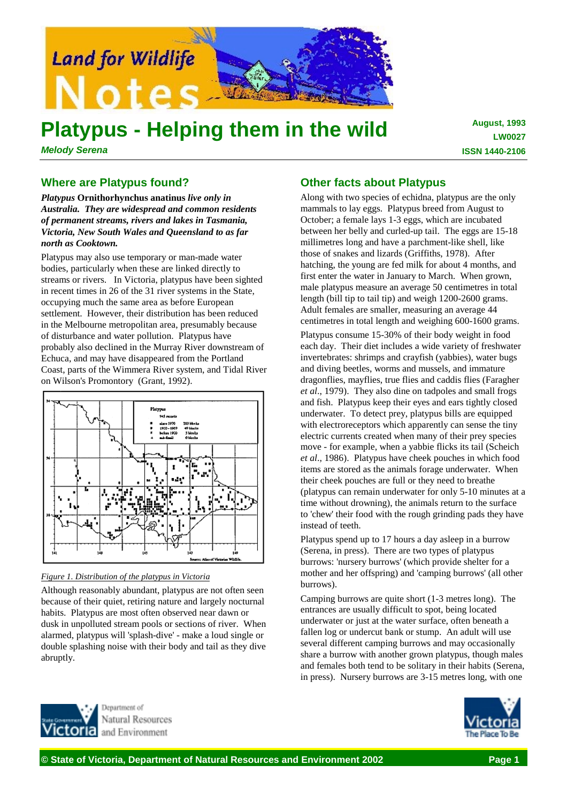

# **Platypus - Helping them in the wild**

*Melody Serena*

**August, 1993 LW0027 ISSN 1440-2106**

## **Where are Platypus found?**

*Platypus* **Ornithorhynchus anatinus** *live only in Australia. They are widespread and common residents of permanent streams, rivers and lakes in Tasmania, Victoria, New South Wales and Queensland to as far north as Cooktown.*

Platypus may also use temporary or man-made water bodies, particularly when these are linked directly to streams or rivers. In Victoria, platypus have been sighted in recent times in 26 of the 31 river systems in the State, occupying much the same area as before European settlement. However, their distribution has been reduced in the Melbourne metropolitan area, presumably because of disturbance and water pollution. Platypus have probably also declined in the Murray River downstream of Echuca, and may have disappeared from the Portland Coast, parts of the Wimmera River system, and Tidal River on Wilson's Promontory (Grant, 1992).



#### *Figure 1. Distribution of the platypus in Victoria*

Although reasonably abundant, platypus are not often seen because of their quiet, retiring nature and largely nocturnal habits. Platypus are most often observed near dawn or dusk in unpolluted stream pools or sections of river. When alarmed, platypus will 'splash-dive' - make a loud single or double splashing noise with their body and tail as they dive abruptly.

# **Other facts about Platypus**

Along with two species of echidna, platypus are the only mammals to lay eggs. Platypus breed from August to October; a female lays 1-3 eggs, which are incubated between her belly and curled-up tail. The eggs are 15-18 millimetres long and have a parchment-like shell, like those of snakes and lizards (Griffiths, 1978). After hatching, the young are fed milk for about 4 months, and first enter the water in January to March. When grown, male platypus measure an average 50 centimetres in total length (bill tip to tail tip) and weigh 1200-2600 grams. Adult females are smaller, measuring an average 44 centimetres in total length and weighing 600-1600 grams.

Platypus consume 15-30% of their body weight in food each day. Their diet includes a wide variety of freshwater invertebrates: shrimps and crayfish (yabbies), water bugs and diving beetles, worms and mussels, and immature dragonflies, mayflies, true flies and caddis flies (Faragher *et al*., 1979). They also dine on tadpoles and small frogs and fish. Platypus keep their eyes and ears tightly closed underwater. To detect prey, platypus bills are equipped with electroreceptors which apparently can sense the tiny electric currents created when many of their prey species move - for example, when a yabbie flicks its tail (Scheich *et al*., 1986). Platypus have cheek pouches in which food items are stored as the animals forage underwater. When their cheek pouches are full or they need to breathe (platypus can remain underwater for only 5-10 minutes at a time without drowning), the animals return to the surface to 'chew' their food with the rough grinding pads they have instead of teeth.

Platypus spend up to 17 hours a day asleep in a burrow (Serena, in press). There are two types of platypus burrows: 'nursery burrows' (which provide shelter for a mother and her offspring) and 'camping burrows' (all other burrows).

Camping burrows are quite short (1-3 metres long). The entrances are usually difficult to spot, being located underwater or just at the water surface, often beneath a fallen log or undercut bank or stump. An adult will use several different camping burrows and may occasionally share a burrow with another grown platypus, though males and females both tend to be solitary in their habits (Serena, in press). Nursery burrows are 3-15 metres long, with one



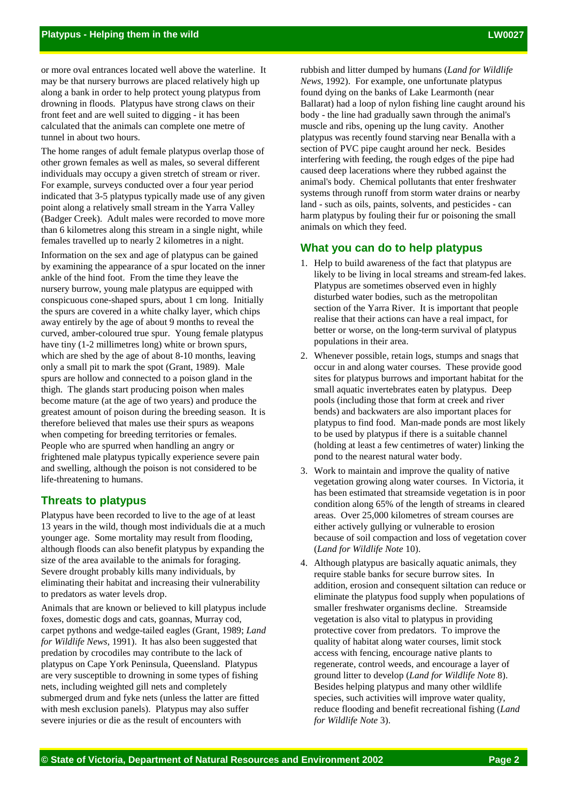or more oval entrances located well above the waterline. It may be that nursery burrows are placed relatively high up along a bank in order to help protect young platypus from drowning in floods. Platypus have strong claws on their front feet and are well suited to digging - it has been calculated that the animals can complete one metre of tunnel in about two hours.

The home ranges of adult female platypus overlap those of other grown females as well as males, so several different individuals may occupy a given stretch of stream or river. For example, surveys conducted over a four year period indicated that 3-5 platypus typically made use of any given point along a relatively small stream in the Yarra Valley (Badger Creek). Adult males were recorded to move more than 6 kilometres along this stream in a single night, while females travelled up to nearly 2 kilometres in a night.

Information on the sex and age of platypus can be gained by examining the appearance of a spur located on the inner ankle of the hind foot. From the time they leave the nursery burrow, young male platypus are equipped with conspicuous cone-shaped spurs, about 1 cm long. Initially the spurs are covered in a white chalky layer, which chips away entirely by the age of about 9 months to reveal the curved, amber-coloured true spur. Young female platypus have tiny (1-2 millimetres long) white or brown spurs, which are shed by the age of about 8-10 months, leaving only a small pit to mark the spot (Grant, 1989). Male spurs are hollow and connected to a poison gland in the thigh. The glands start producing poison when males become mature (at the age of two years) and produce the greatest amount of poison during the breeding season. It is therefore believed that males use their spurs as weapons when competing for breeding territories or females. People who are spurred when handling an angry or frightened male platypus typically experience severe pain and swelling, although the poison is not considered to be life-threatening to humans.

#### **Threats to platypus**

Platypus have been recorded to live to the age of at least 13 years in the wild, though most individuals die at a much younger age. Some mortality may result from flooding, although floods can also benefit platypus by expanding the size of the area available to the animals for foraging. Severe drought probably kills many individuals, by eliminating their habitat and increasing their vulnerability to predators as water levels drop.

Animals that are known or believed to kill platypus include foxes, domestic dogs and cats, goannas, Murray cod, carpet pythons and wedge-tailed eagles (Grant, 1989; *Land for Wildlife News*, 1991). It has also been suggested that predation by crocodiles may contribute to the lack of platypus on Cape York Peninsula, Queensland. Platypus are very susceptible to drowning in some types of fishing nets, including weighted gill nets and completely submerged drum and fyke nets (unless the latter are fitted with mesh exclusion panels). Platypus may also suffer severe injuries or die as the result of encounters with

rubbish and litter dumped by humans (*Land for Wildlife News*, 1992). For example, one unfortunate platypus found dying on the banks of Lake Learmonth (near Ballarat) had a loop of nylon fishing line caught around his body - the line had gradually sawn through the animal's muscle and ribs, opening up the lung cavity. Another platypus was recently found starving near Benalla with a section of PVC pipe caught around her neck. Besides interfering with feeding, the rough edges of the pipe had caused deep lacerations where they rubbed against the animal's body. Chemical pollutants that enter freshwater systems through runoff from storm water drains or nearby land - such as oils, paints, solvents, and pesticides - can harm platypus by fouling their fur or poisoning the small animals on which they feed.

### **What you can do to help platypus**

- 1. Help to build awareness of the fact that platypus are likely to be living in local streams and stream-fed lakes. Platypus are sometimes observed even in highly disturbed water bodies, such as the metropolitan section of the Yarra River. It is important that people realise that their actions can have a real impact, for better or worse, on the long-term survival of platypus populations in their area.
- 2. Whenever possible, retain logs, stumps and snags that occur in and along water courses. These provide good sites for platypus burrows and important habitat for the small aquatic invertebrates eaten by platypus. Deep pools (including those that form at creek and river bends) and backwaters are also important places for platypus to find food. Man-made ponds are most likely to be used by platypus if there is a suitable channel (holding at least a few centimetres of water) linking the pond to the nearest natural water body.
- 3. Work to maintain and improve the quality of native vegetation growing along water courses. In Victoria, it has been estimated that streamside vegetation is in poor condition along 65% of the length of streams in cleared areas. Over 25,000 kilometres of stream courses are either actively gullying or vulnerable to erosion because of soil compaction and loss of vegetation cover (*Land for Wildlife Note* 10).
- 4. Although platypus are basically aquatic animals, they require stable banks for secure burrow sites. In addition, erosion and consequent siltation can reduce or eliminate the platypus food supply when populations of smaller freshwater organisms decline. Streamside vegetation is also vital to platypus in providing protective cover from predators. To improve the quality of habitat along water courses, limit stock access with fencing, encourage native plants to regenerate, control weeds, and encourage a layer of ground litter to develop (*Land for Wildlife Note* 8). Besides helping platypus and many other wildlife species, such activities will improve water quality, reduce flooding and benefit recreational fishing (*Land for Wildlife Note* 3).